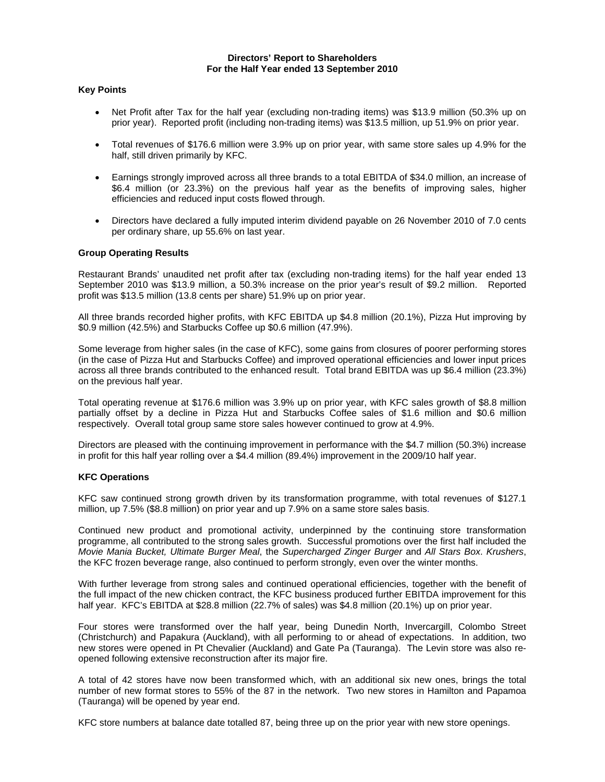## **Directors' Report to Shareholders For the Half Year ended 13 September 2010**

## **Key Points**

- Net Profit after Tax for the half year (excluding non-trading items) was \$13.9 million (50.3% up on prior year). Reported profit (including non-trading items) was \$13.5 million, up 51.9% on prior year.
- Total revenues of \$176.6 million were 3.9% up on prior year, with same store sales up 4.9% for the half, still driven primarily by KFC.
- Earnings strongly improved across all three brands to a total EBITDA of \$34.0 million, an increase of \$6.4 million (or 23.3%) on the previous half year as the benefits of improving sales, higher efficiencies and reduced input costs flowed through.
- Directors have declared a fully imputed interim dividend payable on 26 November 2010 of 7.0 cents per ordinary share, up 55.6% on last year.

### **Group Operating Results**

Restaurant Brands' unaudited net profit after tax (excluding non-trading items) for the half year ended 13 September 2010 was \$13.9 million, a 50.3% increase on the prior year's result of \$9.2 million. Reported profit was \$13.5 million (13.8 cents per share) 51.9% up on prior year.

All three brands recorded higher profits, with KFC EBITDA up \$4.8 million (20.1%), Pizza Hut improving by \$0.9 million (42.5%) and Starbucks Coffee up \$0.6 million (47.9%).

Some leverage from higher sales (in the case of KFC), some gains from closures of poorer performing stores (in the case of Pizza Hut and Starbucks Coffee) and improved operational efficiencies and lower input prices across all three brands contributed to the enhanced result. Total brand EBITDA was up \$6.4 million (23.3%) on the previous half year.

Total operating revenue at \$176.6 million was 3.9% up on prior year, with KFC sales growth of \$8.8 million partially offset by a decline in Pizza Hut and Starbucks Coffee sales of \$1.6 million and \$0.6 million respectively. Overall total group same store sales however continued to grow at 4.9%.

Directors are pleased with the continuing improvement in performance with the \$4.7 million (50.3%) increase in profit for this half year rolling over a \$4.4 million (89.4%) improvement in the 2009/10 half year.

#### **KFC Operations**

KFC saw continued strong growth driven by its transformation programme, with total revenues of \$127.1 million, up 7.5% (\$8.8 million) on prior year and up 7.9% on a same store sales basis.

Continued new product and promotional activity, underpinned by the continuing store transformation programme, all contributed to the strong sales growth. Successful promotions over the first half included the *Movie Mania Bucket, Ultimate Burger Meal*, the *Supercharged Zinger Burger* and *All Stars Box*. *Krushers*, the KFC frozen beverage range, also continued to perform strongly, even over the winter months.

With further leverage from strong sales and continued operational efficiencies, together with the benefit of the full impact of the new chicken contract, the KFC business produced further EBITDA improvement for this half year. KFC's EBITDA at \$28.8 million (22.7% of sales) was \$4.8 million (20.1%) up on prior year.

Four stores were transformed over the half year, being Dunedin North, Invercargill, Colombo Street (Christchurch) and Papakura (Auckland), with all performing to or ahead of expectations. In addition, two new stores were opened in Pt Chevalier (Auckland) and Gate Pa (Tauranga). The Levin store was also reopened following extensive reconstruction after its major fire.

A total of 42 stores have now been transformed which, with an additional six new ones, brings the total number of new format stores to 55% of the 87 in the network. Two new stores in Hamilton and Papamoa (Tauranga) will be opened by year end.

KFC store numbers at balance date totalled 87, being three up on the prior year with new store openings.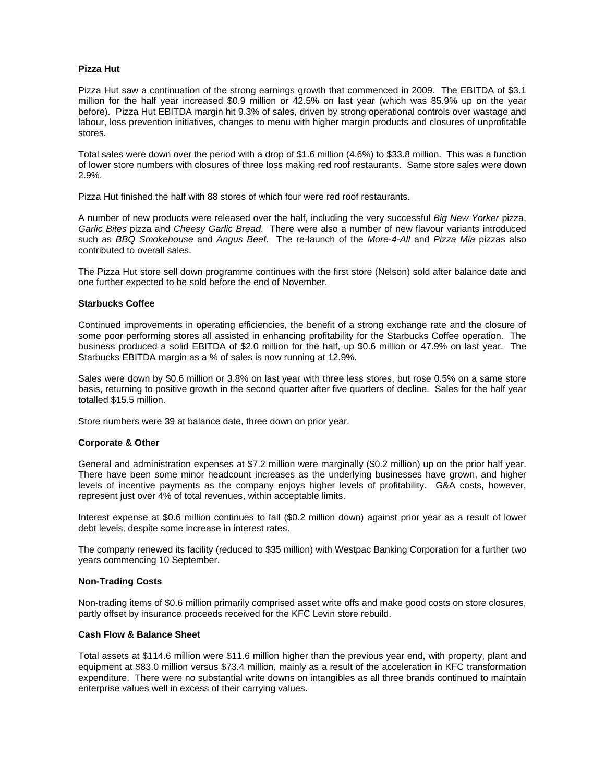## **Pizza Hut**

Pizza Hut saw a continuation of the strong earnings growth that commenced in 2009. The EBITDA of \$3.1 million for the half year increased \$0.9 million or 42.5% on last year (which was 85.9% up on the year before). Pizza Hut EBITDA margin hit 9.3% of sales, driven by strong operational controls over wastage and labour, loss prevention initiatives, changes to menu with higher margin products and closures of unprofitable stores.

Total sales were down over the period with a drop of \$1.6 million (4.6%) to \$33.8 million. This was a function of lower store numbers with closures of three loss making red roof restaurants. Same store sales were down 2.9%.

Pizza Hut finished the half with 88 stores of which four were red roof restaurants.

A number of new products were released over the half, including the very successful *Big New Yorker* pizza, *Garlic Bites* pizza and *Cheesy Garlic Bread*. There were also a number of new flavour variants introduced such as *BBQ Smokehouse* and *Angus Beef*. The re-launch of the *More-4-All* and *Pizza Mia* pizzas also contributed to overall sales.

The Pizza Hut store sell down programme continues with the first store (Nelson) sold after balance date and one further expected to be sold before the end of November.

### **Starbucks Coffee**

Continued improvements in operating efficiencies, the benefit of a strong exchange rate and the closure of some poor performing stores all assisted in enhancing profitability for the Starbucks Coffee operation. The business produced a solid EBITDA of \$2.0 million for the half, up \$0.6 million or 47.9% on last year. The Starbucks EBITDA margin as a % of sales is now running at 12.9%.

Sales were down by \$0.6 million or 3.8% on last year with three less stores, but rose 0.5% on a same store basis, returning to positive growth in the second quarter after five quarters of decline. Sales for the half year totalled \$15.5 million.

Store numbers were 39 at balance date, three down on prior year.

#### **Corporate & Other**

General and administration expenses at \$7.2 million were marginally (\$0.2 million) up on the prior half year. There have been some minor headcount increases as the underlying businesses have grown, and higher levels of incentive payments as the company enjoys higher levels of profitability. G&A costs, however, represent just over 4% of total revenues, within acceptable limits.

Interest expense at \$0.6 million continues to fall (\$0.2 million down) against prior year as a result of lower debt levels, despite some increase in interest rates.

The company renewed its facility (reduced to \$35 million) with Westpac Banking Corporation for a further two years commencing 10 September.

#### **Non-Trading Costs**

Non-trading items of \$0.6 million primarily comprised asset write offs and make good costs on store closures, partly offset by insurance proceeds received for the KFC Levin store rebuild.

# **Cash Flow & Balance Sheet**

Total assets at \$114.6 million were \$11.6 million higher than the previous year end, with property, plant and equipment at \$83.0 million versus \$73.4 million, mainly as a result of the acceleration in KFC transformation expenditure. There were no substantial write downs on intangibles as all three brands continued to maintain enterprise values well in excess of their carrying values.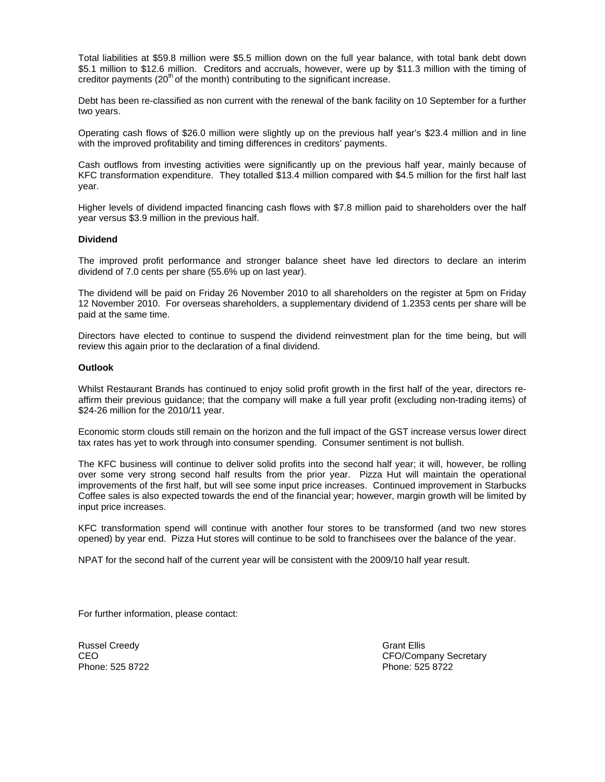Total liabilities at \$59.8 million were \$5.5 million down on the full year balance, with total bank debt down \$5.1 million to \$12.6 million. Creditors and accruals, however, were up by \$11.3 million with the timing of creditor payments  $(20<sup>th</sup>$  of the month) contributing to the significant increase.

Debt has been re-classified as non current with the renewal of the bank facility on 10 September for a further two years.

Operating cash flows of \$26.0 million were slightly up on the previous half year's \$23.4 million and in line with the improved profitability and timing differences in creditors' payments.

Cash outflows from investing activities were significantly up on the previous half year, mainly because of KFC transformation expenditure. They totalled \$13.4 million compared with \$4.5 million for the first half last year.

Higher levels of dividend impacted financing cash flows with \$7.8 million paid to shareholders over the half year versus \$3.9 million in the previous half.

#### **Dividend**

The improved profit performance and stronger balance sheet have led directors to declare an interim dividend of 7.0 cents per share (55.6% up on last year).

The dividend will be paid on Friday 26 November 2010 to all shareholders on the register at 5pm on Friday 12 November 2010. For overseas shareholders, a supplementary dividend of 1.2353 cents per share will be paid at the same time.

Directors have elected to continue to suspend the dividend reinvestment plan for the time being, but will review this again prior to the declaration of a final dividend.

#### **Outlook**

Whilst Restaurant Brands has continued to enjoy solid profit growth in the first half of the year, directors reaffirm their previous guidance; that the company will make a full year profit (excluding non-trading items) of \$24-26 million for the 2010/11 year.

Economic storm clouds still remain on the horizon and the full impact of the GST increase versus lower direct tax rates has yet to work through into consumer spending. Consumer sentiment is not bullish.

The KFC business will continue to deliver solid profits into the second half year; it will, however, be rolling over some very strong second half results from the prior year. Pizza Hut will maintain the operational improvements of the first half, but will see some input price increases. Continued improvement in Starbucks Coffee sales is also expected towards the end of the financial year; however, margin growth will be limited by input price increases.

KFC transformation spend will continue with another four stores to be transformed (and two new stores opened) by year end. Pizza Hut stores will continue to be sold to franchisees over the balance of the year.

NPAT for the second half of the current year will be consistent with the 2009/10 half year result.

For further information, please contact:

Russel Creedy **Grant Ellis Grant Ellis** 

CEO CEO COMPANY Secretary CEO/Company Secretary Phone: 525 8722 Phone: 525 8722